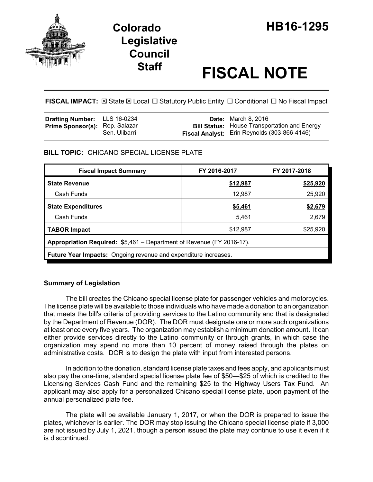

# **Legislative Council**

## **Staff FISCAL NOTE**

**FISCAL IMPACT:**  $\boxtimes$  State  $\boxtimes$  Local  $\Box$  Statutory Public Entity  $\Box$  Conditional  $\Box$  No Fiscal Impact

| <b>Drafting Number:</b> LLS 16-0234   |               | <b>Date:</b> March 8, 2016                                                                          |
|---------------------------------------|---------------|-----------------------------------------------------------------------------------------------------|
| <b>Prime Sponsor(s): Rep. Salazar</b> | Sen. Ulibarri | <b>Bill Status:</b> House Transportation and Energy<br>Fiscal Analyst: Erin Reynolds (303-866-4146) |

#### **BILL TOPIC:** CHICANO SPECIAL LICENSE PLATE

| <b>Fiscal Impact Summary</b>                                          | FY 2016-2017 | FY 2017-2018 |  |  |  |  |
|-----------------------------------------------------------------------|--------------|--------------|--|--|--|--|
| <b>State Revenue</b>                                                  | \$12,987     | \$25,920     |  |  |  |  |
| Cash Funds                                                            | 12,987       | 25,920       |  |  |  |  |
| <b>State Expenditures</b>                                             | \$5,461      | \$2,679      |  |  |  |  |
| Cash Funds                                                            | 5,461        | 2,679        |  |  |  |  |
| <b>TABOR Impact</b>                                                   | \$12,987     | \$25,920     |  |  |  |  |
| Appropriation Required: \$5,461 – Department of Revenue (FY 2016-17). |              |              |  |  |  |  |
| Future Year Impacts: Ongoing revenue and expenditure increases.       |              |              |  |  |  |  |

#### **Summary of Legislation**

The bill creates the Chicano special license plate for passenger vehicles and motorcycles. The license plate will be available to those individuals who have made a donation to an organization that meets the bill's criteria of providing services to the Latino community and that is designated by the Department of Revenue (DOR). The DOR must designate one or more such organizations at least once every five years. The organization may establish a minimum donation amount. It can either provide services directly to the Latino community or through grants, in which case the organization may spend no more than 10 percent of money raised through the plates on administrative costs. DOR is to design the plate with input from interested persons.

In addition to the donation, standard license plate taxes and fees apply, and applicants must also pay the one-time, standard special license plate fee of \$50—\$25 of which is credited to the Licensing Services Cash Fund and the remaining \$25 to the Highway Users Tax Fund. An applicant may also apply for a personalized Chicano special license plate, upon payment of the annual personalized plate fee.

The plate will be available January 1, 2017, or when the DOR is prepared to issue the plates, whichever is earlier. The DOR may stop issuing the Chicano special license plate if 3,000 are not issued by July 1, 2021, though a person issued the plate may continue to use it even if it is discontinued.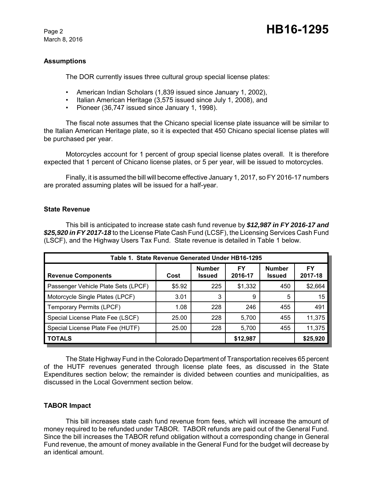## Page 2 **HB16-1295**

#### **Assumptions**

The DOR currently issues three cultural group special license plates:

- American Indian Scholars (1,839 issued since January 1, 2002),
- Italian American Heritage (3,575 issued since July 1, 2008), and
- Pioneer (36,747 issued since January 1, 1998).

The fiscal note assumes that the Chicano special license plate issuance will be similar to the Italian American Heritage plate, so it is expected that 450 Chicano special license plates will be purchased per year.

Motorcycles account for 1 percent of group special license plates overall. It is therefore expected that 1 percent of Chicano license plates, or 5 per year, will be issued to motorcycles.

Finally, it is assumed the bill will become effective January 1, 2017, so FY 2016-17 numbers are prorated assuming plates will be issued for a half-year.

#### **State Revenue**

This bill is anticipated to increase state cash fund revenue by *\$12,987 in FY 2016-17 and \$25,920 in FY 2017-18* to the License Plate Cash Fund (LCSF), the Licensing Services Cash Fund (LSCF), and the Highway Users Tax Fund. State revenue is detailed in Table 1 below.

| Table 1. State Revenue Generated Under HB16-1295 |        |                                |               |                                |                      |  |
|--------------------------------------------------|--------|--------------------------------|---------------|--------------------------------|----------------------|--|
| <b>Revenue Components</b>                        | Cost   | <b>Number</b><br><b>Issued</b> | FY<br>2016-17 | <b>Number</b><br><b>Issued</b> | <b>FY</b><br>2017-18 |  |
| Passenger Vehicle Plate Sets (LPCF)              | \$5.92 | 225                            | \$1,332       | 450                            | \$2,664              |  |
| Motorcycle Single Plates (LPCF)                  | 3.01   |                                | 9             | 5                              | 15                   |  |
| Temporary Permits (LPCF)                         | 1.08   | 228                            | 246           | 455                            | 491                  |  |
| Special License Plate Fee (LSCF)                 | 25.00  | 228                            | 5,700         | 455                            | 11,375               |  |
| Special License Plate Fee (HUTF)                 | 25.00  | 228                            | 5,700         | 455                            | 11,375               |  |
| <b>TOTALS</b>                                    |        |                                | \$12,987      |                                | \$25,920             |  |

The State Highway Fund in the Colorado Department of Transportation receives 65 percent of the HUTF revenues generated through license plate fees, as discussed in the State Expenditures section below; the remainder is divided between counties and municipalities, as discussed in the Local Government section below.

#### **TABOR Impact**

This bill increases state cash fund revenue from fees, which will increase the amount of money required to be refunded under TABOR. TABOR refunds are paid out of the General Fund. Since the bill increases the TABOR refund obligation without a corresponding change in General Fund revenue, the amount of money available in the General Fund for the budget will decrease by an identical amount.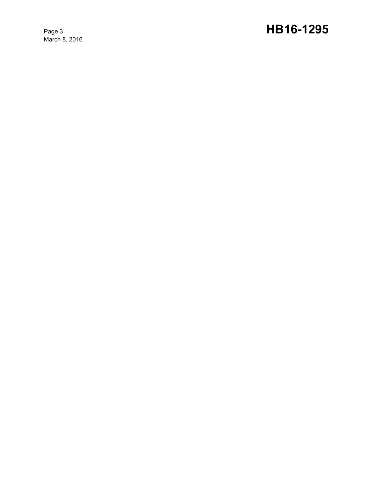## Page 3 **HB16-1295**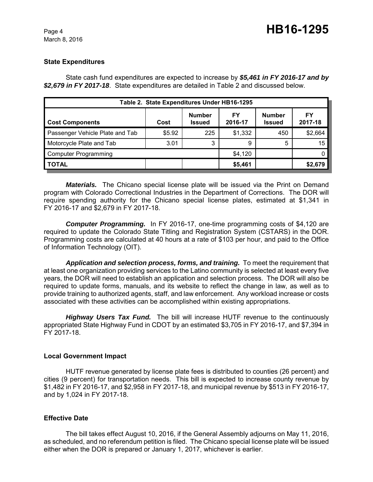#### **State Expenditures**

State cash fund expenditures are expected to increase by *\$5,461 in FY 2016-17 and by \$2,679 in FY 2017-18*. State expenditures are detailed in Table 2 and discussed below.

| Table 2. State Expenditures Under HB16-1295 |        |                                |               |                                |               |  |  |  |
|---------------------------------------------|--------|--------------------------------|---------------|--------------------------------|---------------|--|--|--|
| <b>Cost Components</b>                      | Cost   | <b>Number</b><br><b>Issued</b> | FY<br>2016-17 | <b>Number</b><br><b>Issued</b> | FY<br>2017-18 |  |  |  |
| Passenger Vehicle Plate and Tab             | \$5.92 | 225                            | \$1,332       | 450                            | \$2,664       |  |  |  |
| Motorcycle Plate and Tab                    | 3.01   | 3                              | 9             | 5                              | 15            |  |  |  |
| <b>Computer Programming</b>                 |        |                                | \$4,120       |                                |               |  |  |  |
| <b>TOTAL</b>                                |        |                                | \$5,461       |                                | \$2,679       |  |  |  |

*Materials.* The Chicano special license plate will be issued via the Print on Demand program with Colorado Correctional Industries in the Department of Corrections. The DOR will require spending authority for the Chicano special license plates, estimated at \$1,341 in FY 2016-17 and \$2,679 in FY 2017-18.

*Computer Programming.* In FY 2016-17, one-time programming costs of \$4,120 are required to update the Colorado State Titling and Registration System (CSTARS) in the DOR. Programming costs are calculated at 40 hours at a rate of \$103 per hour, and paid to the Office of Information Technology (OIT).

*Application and selection process, forms, and training.* To meet the requirement that at least one organization providing services to the Latino community is selected at least every five years, the DOR will need to establish an application and selection process. The DOR will also be required to update forms, manuals, and its website to reflect the change in law, as well as to provide training to authorized agents, staff, and law enforcement. Any workload increase or costs associated with these activities can be accomplished within existing appropriations.

*Highway Users Tax Fund.* The bill will increase HUTF revenue to the continuously appropriated State Highway Fund in CDOT by an estimated \$3,705 in FY 2016-17, and \$7,394 in FY 2017-18.

#### **Local Government Impact**

HUTF revenue generated by license plate fees is distributed to counties (26 percent) and cities (9 percent) for transportation needs. This bill is expected to increase county revenue by \$1,482 in FY 2016-17, and \$2,958 in FY 2017-18, and municipal revenue by \$513 in FY 2016-17, and by 1,024 in FY 2017-18.

#### **Effective Date**

The bill takes effect August 10, 2016, if the General Assembly adjourns on May 11, 2016, as scheduled, and no referendum petition is filed. The Chicano special license plate will be issued either when the DOR is prepared or January 1, 2017, whichever is earlier.